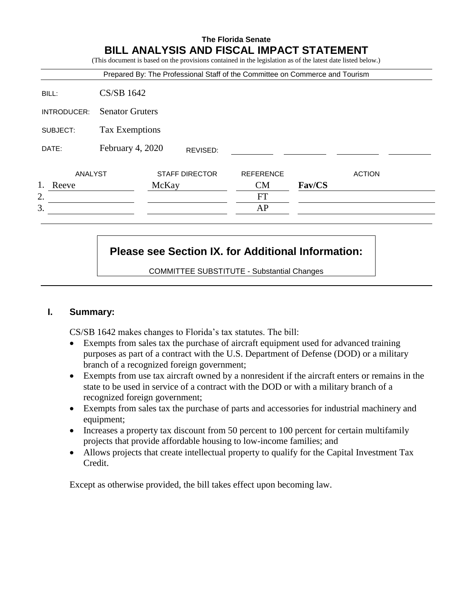|             |                              |       |                       | Prepared By: The Professional Staff of the Committee on Commerce and Tourism |        |               |
|-------------|------------------------------|-------|-----------------------|------------------------------------------------------------------------------|--------|---------------|
| BILL:       | <b>CS/SB 1642</b>            |       |                       |                                                                              |        |               |
| INTRODUCER: | <b>Senator Gruters</b>       |       |                       |                                                                              |        |               |
| SUBJECT:    | <b>Tax Exemptions</b>        |       |                       |                                                                              |        |               |
| DATE:       | February 4, 2020<br>REVISED: |       |                       |                                                                              |        |               |
| ANALYST     |                              |       | <b>STAFF DIRECTOR</b> | <b>REFERENCE</b>                                                             |        | <b>ACTION</b> |
| Reeve       |                              | McKay |                       | <b>CM</b>                                                                    | Fav/CS |               |
| 2.          |                              |       |                       | FT                                                                           |        |               |
| 3.          |                              |       |                       | AP                                                                           |        |               |

# **Please see Section IX. for Additional Information:**

COMMITTEE SUBSTITUTE - Substantial Changes

### **I. Summary:**

CS/SB 1642 makes changes to Florida's tax statutes. The bill:

- Exempts from sales tax the purchase of aircraft equipment used for advanced training purposes as part of a contract with the U.S. Department of Defense (DOD) or a military branch of a recognized foreign government;
- Exempts from use tax aircraft owned by a nonresident if the aircraft enters or remains in the state to be used in service of a contract with the DOD or with a military branch of a recognized foreign government;
- Exempts from sales tax the purchase of parts and accessories for industrial machinery and equipment;
- Increases a property tax discount from 50 percent to 100 percent for certain multifamily projects that provide affordable housing to low-income families; and
- Allows projects that create intellectual property to qualify for the Capital Investment Tax Credit.

Except as otherwise provided, the bill takes effect upon becoming law.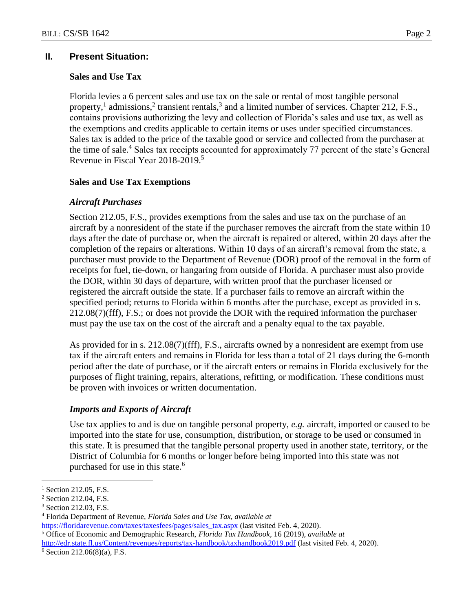## **II. Present Situation:**

### **Sales and Use Tax**

Florida levies a 6 percent sales and use tax on the sale or rental of most tangible personal property,<sup>1</sup> admissions,<sup>2</sup> transient rentals,<sup>3</sup> and a limited number of services. Chapter 212, F.S., contains provisions authorizing the levy and collection of Florida's sales and use tax, as well as the exemptions and credits applicable to certain items or uses under specified circumstances. Sales tax is added to the price of the taxable good or service and collected from the purchaser at the time of sale.<sup>4</sup> Sales tax receipts accounted for approximately 77 percent of the state's General Revenue in Fiscal Year 2018-2019.<sup>5</sup>

### **Sales and Use Tax Exemptions**

### *Aircraft Purchases*

Section 212.05, F.S., provides exemptions from the sales and use tax on the purchase of an aircraft by a nonresident of the state if the purchaser removes the aircraft from the state within 10 days after the date of purchase or, when the aircraft is repaired or altered, within 20 days after the completion of the repairs or alterations. Within 10 days of an aircraft's removal from the state, a purchaser must provide to the Department of Revenue (DOR) proof of the removal in the form of receipts for fuel, tie-down, or hangaring from outside of Florida. A purchaser must also provide the DOR, within 30 days of departure, with written proof that the purchaser licensed or registered the aircraft outside the state. If a purchaser fails to remove an aircraft within the specified period; returns to Florida within 6 months after the purchase, except as provided in s. 212.08(7)(fff), F.S.; or does not provide the DOR with the required information the purchaser must pay the use tax on the cost of the aircraft and a penalty equal to the tax payable.

As provided for in s. 212.08(7)(fff), F.S., aircrafts owned by a nonresident are exempt from use tax if the aircraft enters and remains in Florida for less than a total of 21 days during the 6-month period after the date of purchase, or if the aircraft enters or remains in Florida exclusively for the purposes of flight training, repairs, alterations, refitting, or modification. These conditions must be proven with invoices or written documentation.

### *Imports and Exports of Aircraft*

Use tax applies to and is due on tangible personal property, *e.g.* aircraft, imported or caused to be imported into the state for use, consumption, distribution, or storage to be used or consumed in this state. It is presumed that the tangible personal property used in another state, territory, or the District of Columbia for 6 months or longer before being imported into this state was not purchased for use in this state.<sup>6</sup>

 $\overline{a}$ 

[https://floridarevenue.com/taxes/taxesfees/pages/sales\\_tax.aspx](https://floridarevenue.com/taxes/taxesfees/pages/sales_tax.aspx) (last visited Feb. 4, 2020).

<sup>5</sup> Office of Economic and Demographic Research, *Florida Tax Handbook*, 16 (2019), *available at*  <http://edr.state.fl.us/Content/revenues/reports/tax-handbook/taxhandbook2019.pdf> (last visited Feb. 4, 2020).

<sup>6</sup> Section 212.06(8)(a), F.S.

 $<sup>1</sup>$  Section 212.05, F.S.</sup>

<sup>2</sup> Section 212.04, F.S.

<sup>3</sup> Section 212.03, F.S.

<sup>4</sup> Florida Department of Revenue, *Florida Sales and Use Tax, available at*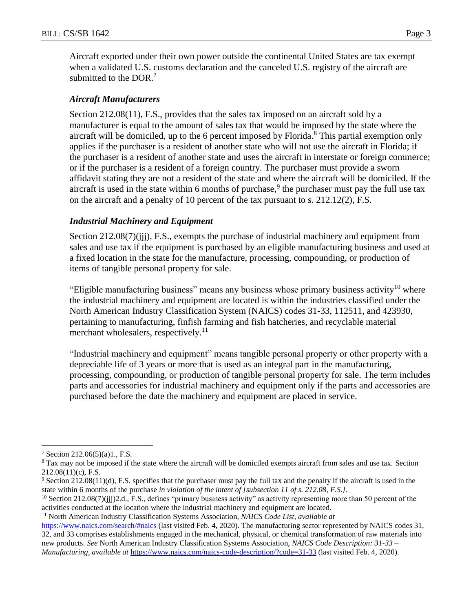Aircraft exported under their own power outside the continental United States are tax exempt when a validated U.S. customs declaration and the canceled U.S. registry of the aircraft are submitted to the DOR.<sup>7</sup>

### *Aircraft Manufacturers*

Section 212.08(11), F.S., provides that the sales tax imposed on an aircraft sold by a manufacturer is equal to the amount of sales tax that would be imposed by the state where the aircraft will be domiciled, up to the 6 percent imposed by Florida. <sup>8</sup> This partial exemption only applies if the purchaser is a resident of another state who will not use the aircraft in Florida; if the purchaser is a resident of another state and uses the aircraft in interstate or foreign commerce; or if the purchaser is a resident of a foreign country. The purchaser must provide a sworn affidavit stating they are not a resident of the state and where the aircraft will be domiciled. If the aircraft is used in the state within 6 months of purchase,<sup>9</sup> the purchaser must pay the full use tax on the aircraft and a penalty of 10 percent of the tax pursuant to s. 212.12(2), F.S.

### *Industrial Machinery and Equipment*

Section 212.08(7)(jjj), F.S., exempts the purchase of industrial machinery and equipment from sales and use tax if the equipment is purchased by an eligible manufacturing business and used at a fixed location in the state for the manufacture, processing, compounding, or production of items of tangible personal property for sale.

"Eligible manufacturing business" means any business whose primary business activity<sup>10</sup> where the industrial machinery and equipment are located is within the industries classified under the North American Industry Classification System (NAICS) codes 31-33, 112511, and 423930, pertaining to manufacturing, finfish farming and fish hatcheries, and recyclable material merchant wholesalers, respectively.<sup>11</sup>

"Industrial machinery and equipment" means tangible personal property or other property with a depreciable life of 3 years or more that is used as an integral part in the manufacturing, processing, compounding, or production of tangible personal property for sale. The term includes parts and accessories for industrial machinery and equipment only if the parts and accessories are purchased before the date the machinery and equipment are placed in service.

 $\overline{a}$ 

 $7$  Section 212.06(5)(a)1., F.S.

<sup>8</sup> Tax may not be imposed if the state where the aircraft will be domiciled exempts aircraft from sales and use tax. Section 212.08(11)(c), F.S.

<sup>9</sup> Section 212.08(11)(d), F.S. specifies that the purchaser must pay the full tax and the penalty if the aircraft is used in the state within 6 months of the purchase *in violation of the intent of [subsection 11 of s. 212.08, F.S.].* 

 $10$  Section 212.08(7)(iii)2.d., F.S., defines "primary business activity" as activity representing more than 50 percent of the activities conducted at the location where the industrial machinery and equipment are located.

<sup>11</sup> North American Industry Classification Systems Association, *NAICS Code List, available at* 

<https://www.naics.com/search/#naics> (last visited Feb. 4, 2020). The manufacturing sector represented by NAICS codes 31, 32, and 33 comprises establishments engaged in the mechanical, physical, or chemical transformation of raw materials into new products. *See* North American Industry Classification Systems Association, *NAICS Code Description: 31-33 – Manufacturing, available at* <https://www.naics.com/naics-code-description/?code=31-33> (last visited Feb. 4, 2020).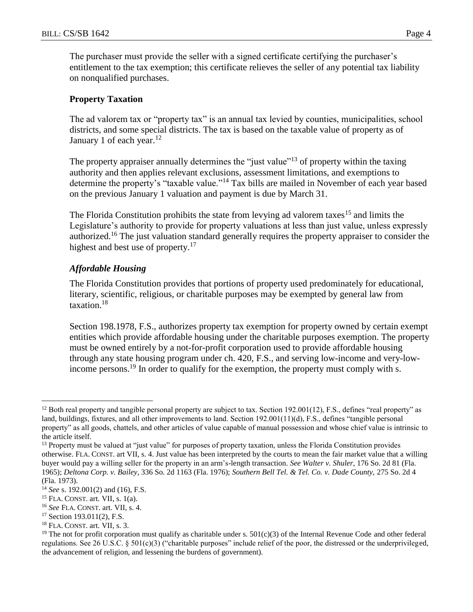The purchaser must provide the seller with a signed certificate certifying the purchaser's entitlement to the tax exemption; this certificate relieves the seller of any potential tax liability on nonqualified purchases.

### **Property Taxation**

The ad valorem tax or "property tax" is an annual tax levied by counties, municipalities, school districts, and some special districts. The tax is based on the taxable value of property as of January 1 of each year. $12$ 

The property appraiser annually determines the "just value"<sup>13</sup> of property within the taxing authority and then applies relevant exclusions, assessment limitations, and exemptions to determine the property's "taxable value."<sup>14</sup> Tax bills are mailed in November of each year based on the previous January 1 valuation and payment is due by March 31.

The Florida Constitution prohibits the state from levying ad valorem taxes<sup>15</sup> and limits the Legislature's authority to provide for property valuations at less than just value, unless expressly authorized.<sup>16</sup> The just valuation standard generally requires the property appraiser to consider the highest and best use of property.<sup>17</sup>

### *Affordable Housing*

The Florida Constitution provides that portions of property used predominately for educational, literary, scientific, religious, or charitable purposes may be exempted by general law from taxation.<sup>18</sup>

Section 198.1978, F.S., authorizes property tax exemption for property owned by certain exempt entities which provide affordable housing under the charitable purposes exemption. The property must be owned entirely by a not-for-profit corporation used to provide affordable housing through any state housing program under ch. 420, F.S., and serving low-income and very-lowincome persons.<sup>19</sup> In order to qualify for the exemption, the property must comply with s.

 $\overline{a}$ 

 $12$  Both real property and tangible personal property are subject to tax. Section 192.001(12), F.S., defines "real property" as land, buildings, fixtures, and all other improvements to land. Section 192.001(11)(d), F.S., defines "tangible personal property" as all goods, chattels, and other articles of value capable of manual possession and whose chief value is intrinsic to the article itself.

<sup>&</sup>lt;sup>13</sup> Property must be valued at "just value" for purposes of property taxation, unless the Florida Constitution provides otherwise. FLA. CONST. art VII, s. 4. Just value has been interpreted by the courts to mean the fair market value that a willing buyer would pay a willing seller for the property in an arm's-length transaction. *See Walter v. Shuler,* 176 So. 2d 81 (Fla. 1965); *Deltona Corp. v. Bailey*, 336 So. 2d 1163 (Fla. 1976); *Southern Bell Tel. & Tel. Co. v. Dade County,* 275 So. 2d 4 (Fla. 1973).

<sup>14</sup> *See* s. 192.001(2) and (16), F.S.

 $15$  FLA. CONST. art. VII, s. 1(a).

<sup>16</sup> *See* FLA. CONST. art. VII, s. 4.

<sup>17</sup> Section 193.011(2), F.S.

<sup>18</sup> FLA. CONST. art. VII, s. 3.

<sup>&</sup>lt;sup>19</sup> The not for profit corporation must qualify as charitable under s.  $501(c)(3)$  of the Internal Revenue Code and other federal regulations. See 26 U.S.C. § 501(c)(3) ("charitable purposes" include relief of the poor, the distressed or the underprivileged, the advancement of religion, and lessening the burdens of government).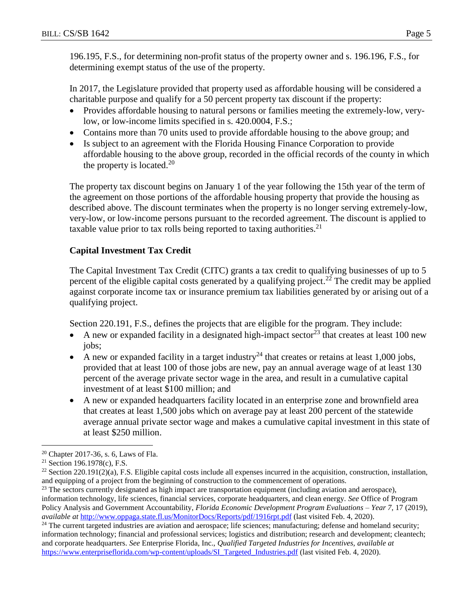196.195, F.S., for determining non-profit status of the property owner and s. 196.196, F.S., for determining exempt status of the use of the property.

In 2017, the Legislature provided that property used as affordable housing will be considered a charitable purpose and qualify for a 50 percent property tax discount if the property:

- Provides affordable housing to natural persons or families meeting the extremely-low, verylow, or low-income limits specified in s. 420.0004, F.S.;
- Contains more than 70 units used to provide affordable housing to the above group; and
- Is subject to an agreement with the Florida Housing Finance Corporation to provide affordable housing to the above group, recorded in the official records of the county in which the property is located.<sup>20</sup>

The property tax discount begins on January 1 of the year following the 15th year of the term of the agreement on those portions of the affordable housing property that provide the housing as described above. The discount terminates when the property is no longer serving extremely-low, very-low, or low-income persons pursuant to the recorded agreement. The discount is applied to taxable value prior to tax rolls being reported to taxing authorities.<sup>21</sup>

### **Capital Investment Tax Credit**

The Capital Investment Tax Credit (CITC) grants a tax credit to qualifying businesses of up to 5 percent of the eligible capital costs generated by a qualifying project.<sup>22</sup> The credit may be applied against corporate income tax or insurance premium tax liabilities generated by or arising out of a qualifying project.

Section 220.191, F.S., defines the projects that are eligible for the program. They include:

- A new or expanded facility in a designated high-impact sector<sup>23</sup> that creates at least 100 new jobs;
- A new or expanded facility in a target industry<sup>24</sup> that creates or retains at least 1,000 jobs, provided that at least 100 of those jobs are new, pay an annual average wage of at least 130 percent of the average private sector wage in the area, and result in a cumulative capital investment of at least \$100 million; and
- A new or expanded headquarters facility located in an enterprise zone and brownfield area that creates at least 1,500 jobs which on average pay at least 200 percent of the statewide average annual private sector wage and makes a cumulative capital investment in this state of at least \$250 million.

 $\overline{a}$ <sup>20</sup> Chapter 2017-36, s. 6, Laws of Fla.

<sup>21</sup> Section 196.1978(c), F.S.

 $22$  Section 220.191(2)(a), F.S. Eligible capital costs include all expenses incurred in the acquisition, construction, installation, and equipping of a project from the beginning of construction to the commencement of operations.

 $23$  The sectors currently designated as high impact are transportation equipment (including aviation and aerospace), information technology, life sciences, financial services, corporate headquarters, and clean energy. *See* Office of Program Policy Analysis and Government Accountability, *Florida Economic Development Program Evaluations – Year 7*, 17 (2019), *available at* <http://www.oppaga.state.fl.us/MonitorDocs/Reports/pdf/1916rpt.pdf> (last visited Feb. 4, 2020).

 $24$  The current targeted industries are aviation and aerospace; life sciences; manufacturing; defense and homeland security; information technology; financial and professional services; logistics and distribution; research and development; cleantech; and corporate headquarters. *See* Enterprise Florida, Inc., *Qualified Targeted Industries for Incentives, available at* [https://www.enterpriseflorida.com/wp-content/uploads/SI\\_Targeted\\_Industries.pdf](https://www.enterpriseflorida.com/wp-content/uploads/SI_Targeted_Industries.pdf) (last visited Feb. 4, 2020).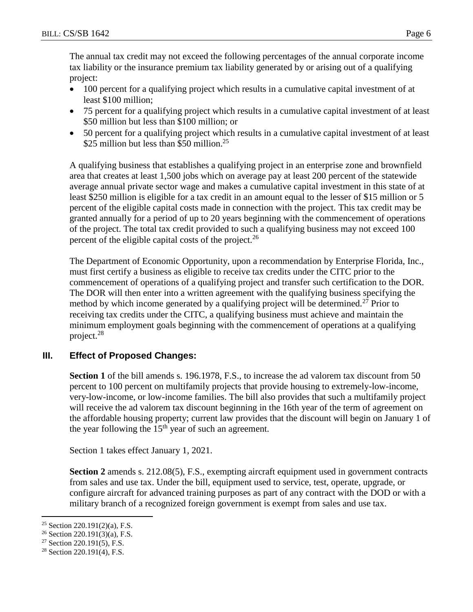The annual tax credit may not exceed the following percentages of the annual corporate income tax liability or the insurance premium tax liability generated by or arising out of a qualifying project:

- 100 percent for a qualifying project which results in a cumulative capital investment of at least \$100 million;
- 75 percent for a qualifying project which results in a cumulative capital investment of at least \$50 million but less than \$100 million; or
- 50 percent for a qualifying project which results in a cumulative capital investment of at least \$25 million but less than \$50 million.<sup>25</sup>

A qualifying business that establishes a qualifying project in an enterprise zone and brownfield area that creates at least 1,500 jobs which on average pay at least 200 percent of the statewide average annual private sector wage and makes a cumulative capital investment in this state of at least \$250 million is eligible for a tax credit in an amount equal to the lesser of \$15 million or 5 percent of the eligible capital costs made in connection with the project. This tax credit may be granted annually for a period of up to 20 years beginning with the commencement of operations of the project. The total tax credit provided to such a qualifying business may not exceed 100 percent of the eligible capital costs of the project.<sup>26</sup>

The Department of Economic Opportunity, upon a recommendation by Enterprise Florida, Inc., must first certify a business as eligible to receive tax credits under the CITC prior to the commencement of operations of a qualifying project and transfer such certification to the DOR. The DOR will then enter into a written agreement with the qualifying business specifying the method by which income generated by a qualifying project will be determined.<sup>27</sup> Prior to receiving tax credits under the CITC, a qualifying business must achieve and maintain the minimum employment goals beginning with the commencement of operations at a qualifying project.<sup>28</sup>

### **III. Effect of Proposed Changes:**

**Section 1** of the bill amends s. 196.1978, F.S., to increase the ad valorem tax discount from 50 percent to 100 percent on multifamily projects that provide housing to extremely-low-income, very-low-income, or low-income families. The bill also provides that such a multifamily project will receive the ad valorem tax discount beginning in the 16th year of the term of agreement on the affordable housing property; current law provides that the discount will begin on January 1 of the year following the  $15<sup>th</sup>$  year of such an agreement.

Section 1 takes effect January 1, 2021.

**Section 2** amends s. 212.08(5), F.S., exempting aircraft equipment used in government contracts from sales and use tax. Under the bill, equipment used to service, test, operate, upgrade, or configure aircraft for advanced training purposes as part of any contract with the DOD or with a military branch of a recognized foreign government is exempt from sales and use tax.

 $\overline{a}$ <sup>25</sup> Section 220.191(2)(a), F.S.

 $26$  Section 220.191(3)(a), F.S.

<sup>27</sup> Section 220.191(5), F.S.

<sup>28</sup> Section 220.191(4), F.S.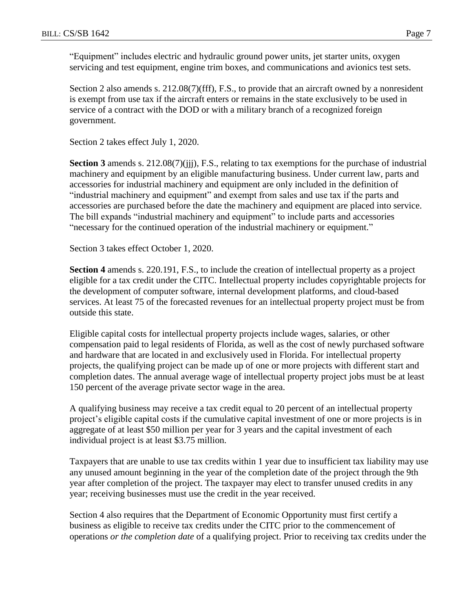"Equipment" includes electric and hydraulic ground power units, jet starter units, oxygen servicing and test equipment, engine trim boxes, and communications and avionics test sets.

Section 2 also amends s. 212.08(7)(fff), F.S., to provide that an aircraft owned by a nonresident is exempt from use tax if the aircraft enters or remains in the state exclusively to be used in service of a contract with the DOD or with a military branch of a recognized foreign government.

Section 2 takes effect July 1, 2020.

**Section 3** amends s. 212.08(7)(iii), F.S., relating to tax exemptions for the purchase of industrial machinery and equipment by an eligible manufacturing business. Under current law, parts and accessories for industrial machinery and equipment are only included in the definition of "industrial machinery and equipment" and exempt from sales and use tax if the parts and accessories are purchased before the date the machinery and equipment are placed into service. The bill expands "industrial machinery and equipment" to include parts and accessories "necessary for the continued operation of the industrial machinery or equipment."

Section 3 takes effect October 1, 2020.

**Section 4** amends s. 220.191, F.S., to include the creation of intellectual property as a project eligible for a tax credit under the CITC. Intellectual property includes copyrightable projects for the development of computer software, internal development platforms, and cloud-based services. At least 75 of the forecasted revenues for an intellectual property project must be from outside this state.

Eligible capital costs for intellectual property projects include wages, salaries, or other compensation paid to legal residents of Florida, as well as the cost of newly purchased software and hardware that are located in and exclusively used in Florida. For intellectual property projects, the qualifying project can be made up of one or more projects with different start and completion dates. The annual average wage of intellectual property project jobs must be at least 150 percent of the average private sector wage in the area.

A qualifying business may receive a tax credit equal to 20 percent of an intellectual property project's eligible capital costs if the cumulative capital investment of one or more projects is in aggregate of at least \$50 million per year for 3 years and the capital investment of each individual project is at least \$3.75 million.

Taxpayers that are unable to use tax credits within 1 year due to insufficient tax liability may use any unused amount beginning in the year of the completion date of the project through the 9th year after completion of the project. The taxpayer may elect to transfer unused credits in any year; receiving businesses must use the credit in the year received.

Section 4 also requires that the Department of Economic Opportunity must first certify a business as eligible to receive tax credits under the CITC prior to the commencement of operations *or the completion date* of a qualifying project. Prior to receiving tax credits under the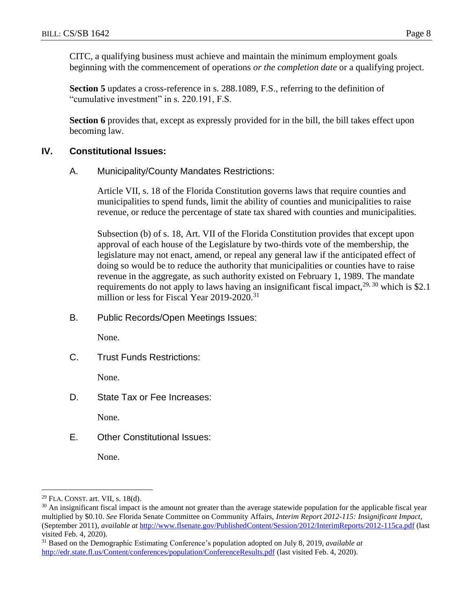CITC, a qualifying business must achieve and maintain the minimum employment goals beginning with the commencement of operations *or the completion date* or a qualifying project.

**Section 5** updates a cross-reference in s. 288.1089, F.S., referring to the definition of "cumulative investment" in s. 220.191, F.S.

**Section 6** provides that, except as expressly provided for in the bill, the bill takes effect upon becoming law.

### **IV. Constitutional Issues:**

### A. Municipality/County Mandates Restrictions:

Article VII, s. 18 of the Florida Constitution governs laws that require counties and municipalities to spend funds, limit the ability of counties and municipalities to raise revenue, or reduce the percentage of state tax shared with counties and municipalities.

Subsection (b) of s. 18, Art. VII of the Florida Constitution provides that except upon approval of each house of the Legislature by two-thirds vote of the membership, the legislature may not enact, amend, or repeal any general law if the anticipated effect of doing so would be to reduce the authority that municipalities or counties have to raise revenue in the aggregate, as such authority existed on February 1, 1989. The mandate requirements do not apply to laws having an insignificant fiscal impact,  $29, 30$  which is \$2.1 million or less for Fiscal Year  $2019-2020$ <sup>31</sup>

B. Public Records/Open Meetings Issues:

None.

C. Trust Funds Restrictions:

None.

D. State Tax or Fee Increases:

None.

E. Other Constitutional Issues:

None.

 $\overline{a}$ 

 $29$  FLA. CONST. art. VII, s. 18(d).

 $30$  An insignificant fiscal impact is the amount not greater than the average statewide population for the applicable fiscal year multiplied by \$0.10. *See* Florida Senate Committee on Community Affairs, *Interim Report 2012-115: Insignificant Impact*, (September 2011), *available at* <http://www.flsenate.gov/PublishedContent/Session/2012/InterimReports/2012-115ca.pdf> (last visited Feb. 4, 2020).

<sup>31</sup> Based on the Demographic Estimating Conference's population adopted on July 8, 2019, *available at* <http://edr.state.fl.us/Content/conferences/population/ConferenceResults.pdf> (last visited Feb. 4, 2020).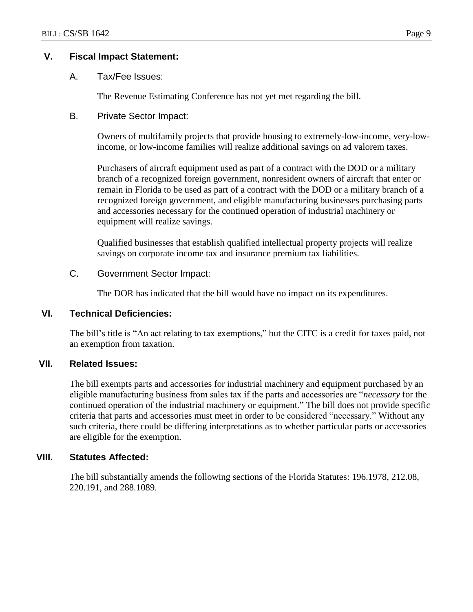### **V. Fiscal Impact Statement:**

A. Tax/Fee Issues:

The Revenue Estimating Conference has not yet met regarding the bill.

B. Private Sector Impact:

Owners of multifamily projects that provide housing to extremely-low-income, very-lowincome, or low-income families will realize additional savings on ad valorem taxes.

Purchasers of aircraft equipment used as part of a contract with the DOD or a military branch of a recognized foreign government, nonresident owners of aircraft that enter or remain in Florida to be used as part of a contract with the DOD or a military branch of a recognized foreign government, and eligible manufacturing businesses purchasing parts and accessories necessary for the continued operation of industrial machinery or equipment will realize savings.

Qualified businesses that establish qualified intellectual property projects will realize savings on corporate income tax and insurance premium tax liabilities.

### C. Government Sector Impact:

The DOR has indicated that the bill would have no impact on its expenditures.

### **VI. Technical Deficiencies:**

The bill's title is "An act relating to tax exemptions," but the CITC is a credit for taxes paid, not an exemption from taxation.

### **VII. Related Issues:**

The bill exempts parts and accessories for industrial machinery and equipment purchased by an eligible manufacturing business from sales tax if the parts and accessories are "*necessary* for the continued operation of the industrial machinery or equipment." The bill does not provide specific criteria that parts and accessories must meet in order to be considered "necessary." Without any such criteria, there could be differing interpretations as to whether particular parts or accessories are eligible for the exemption.

### **VIII. Statutes Affected:**

The bill substantially amends the following sections of the Florida Statutes: 196.1978, 212.08, 220.191, and 288.1089.